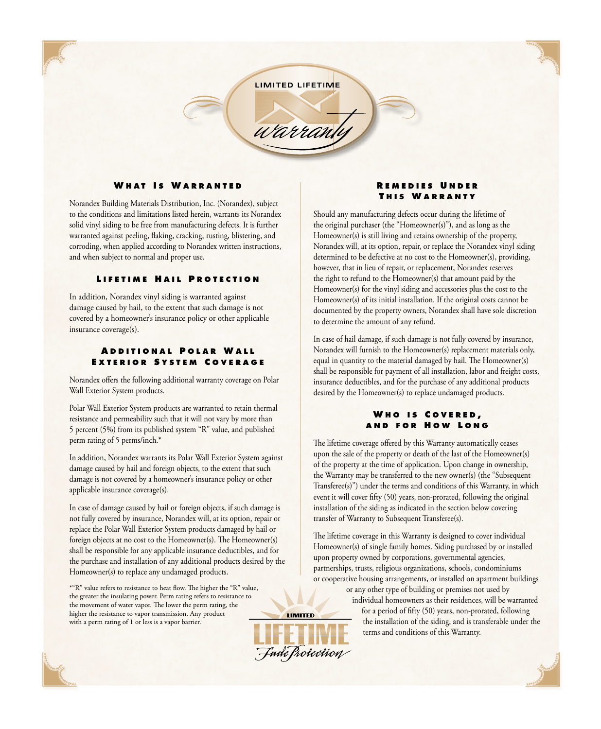**LIMITED LIFETIME** 

warrank

# **W h a t I s W a r r a n t e d**

Norandex Building Materials Distribution, Inc. (Norandex), subject to the conditions and limitations listed herein, warrants its Norandex solid vinyl siding to be free from manufacturing defects. It is further warranted against peeling, flaking, cracking, rusting, blistering, and corroding, when applied according to Norandex written instructions, and when subject to normal and proper use.

#### **LIFETIME HAIL PROTECTION**

In addition, Norandex vinyl siding is warranted against damage caused by hail, to the extent that such damage is not covered by a homeowner's insurance policy or other applicable insurance coverage(s).

## **A d d i t i o n a l P o l a r W a l l E x t e r i o r S y s t e m C o v e r a g e**

Norandex offers the following additional warranty coverage on Polar Wall Exterior System products.

Polar Wall Exterior System products are warranted to retain thermal resistance and permeability such that it will not vary by more than 5 percent (5%) from its published system "R" value, and published perm rating of 5 perms/inch.\*

In addition, Norandex warrants its Polar Wall Exterior System against damage caused by hail and foreign objects, to the extent that such damage is not covered by a homeowner's insurance policy or other applicable insurance coverage(s).

In case of damage caused by hail or foreign objects, if such damage is not fully covered by insurance, Norandex will, at its option, repair or replace the Polar Wall Exterior System products damaged by hail or foreign objects at no cost to the Homeowner(s). The Homeowner(s) shall be responsible for any applicable insurance deductibles, and for the purchase and installation of any additional products desired by the Homeowner(s) to replace any undamaged products.

\*"R" value refers to resistance to heat flow. The higher the "R" value, the greater the insulating power. Perm rating refers to resistance to the movement of water vapor. The lower the perm rating, the higher the resistance to vapor transmission. Any product with a perm rating of 1 or less is a vapor barrier.

# **R e m e d i e s U n d e r THIS WARRANTY**

Should any manufacturing defects occur during the lifetime of the original purchaser (the "Homeowner(s)"), and as long as the Homeowner(s) is still living and retains ownership of the property, Norandex will, at its option, repair, or replace the Norandex vinyl siding determined to be defective at no cost to the Homeowner(s), providing, however, that in lieu of repair, or replacement, Norandex reserves the right to refund to the Homeowner(s) that amount paid by the Homeowner(s) for the vinyl siding and accessories plus the cost to the Homeowner(s) of its initial installation. If the original costs cannot be documented by the property owners, Norandex shall have sole discretion to determine the amount of any refund.

In case of hail damage, if such damage is not fully covered by insurance, Norandex will furnish to the Homeowner(s) replacement materials only, equal in quantity to the material damaged by hail. The Homeowner(s) shall be responsible for payment of all installation, labor and freight costs, insurance deductibles, and for the purchase of any additional products desired by the Homeowner(s) to replace undamaged products.

### **W h o i s C o v e r e d , a n d f o r H o w L o n g**

The lifetime coverage offered by this Warranty automatically ceases upon the sale of the property or death of the last of the Homeowner(s) of the property at the time of application. Upon change in ownership, the Warranty may be transferred to the new owner(s) (the "Subsequent Transferee(s)") under the terms and conditions of this Warranty, in which event it will cover fifty (50) years, non-prorated, following the original installation of the siding as indicated in the section below covering transfer of Warranty to Subsequent Transferee(s).

The lifetime coverage in this Warranty is designed to cover individual Homeowner(s) of single family homes. Siding purchased by or installed upon property owned by corporations, governmental agencies, partnerships, trusts, religious organizations, schools, condominiums or cooperative housing arrangements, or installed on apartment buildings

> or any other type of building or premises not used by individual homeowners as their residences, will be warranted for a period of fifty (50) years, non-prorated, following the installation of the siding, and is transferable under the terms and conditions of this Warranty.



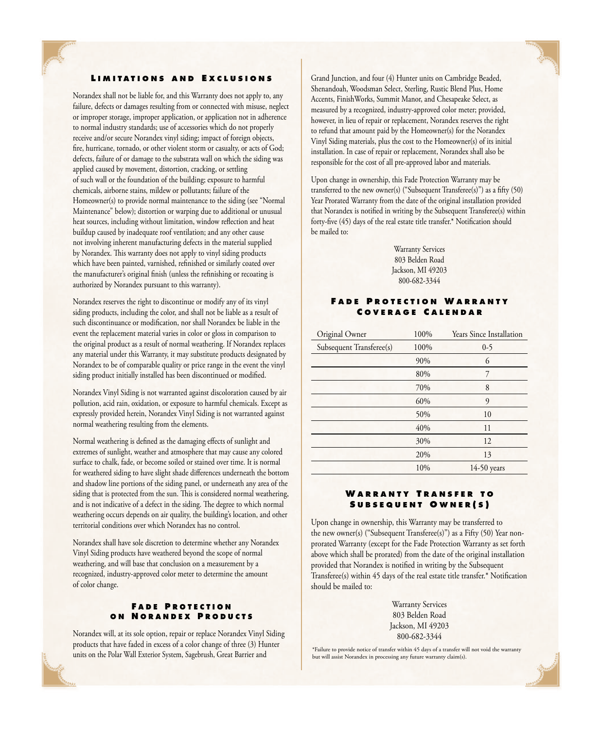## **LIMITATIONS AND EXCLUSIONS**

Norandex shall not be liable for, and this Warranty does not apply to, any failure, defects or damages resulting from or connected with misuse, neglect or improper storage, improper application, or application not in adherence to normal industry standards; use of accessories which do not properly receive and/or secure Norandex vinyl siding; impact of foreign objects, fire, hurricane, tornado, or other violent storm or casualty, or acts of God; defects, failure of or damage to the substrata wall on which the siding was applied caused by movement, distortion, cracking, or settling of such wall or the foundation of the building; exposure to harmful chemicals, airborne stains, mildew or pollutants; failure of the Homeowner(s) to provide normal maintenance to the siding (see "Normal Maintenance" below); distortion or warping due to additional or unusual heat sources, including without limitation, window reflection and heat buildup caused by inadequate roof ventilation; and any other cause not involving inherent manufacturing defects in the material supplied by Norandex. This warranty does not apply to vinyl siding products which have been painted, varnished, refinished or similarly coated over the manufacturer's original finish (unless the refinishing or recoating is authorized by Norandex pursuant to this warranty).

Norandex reserves the right to discontinue or modify any of its vinyl siding products, including the color, and shall not be liable as a result of such discontinuance or modification, nor shall Norandex be liable in the event the replacement material varies in color or gloss in comparison to the original product as a result of normal weathering. If Norandex replaces any material under this Warranty, it may substitute products designated by Norandex to be of comparable quality or price range in the event the vinyl siding product initially installed has been discontinued or modified.

Norandex Vinyl Siding is not warranted against discoloration caused by air pollution, acid rain, oxidation, or exposure to harmful chemicals. Except as expressly provided herein, Norandex Vinyl Siding is not warranted against normal weathering resulting from the elements.

Normal weathering is defined as the damaging effects of sunlight and extremes of sunlight, weather and atmosphere that may cause any colored surface to chalk, fade, or become soiled or stained over time. It is normal for weathered siding to have slight shade differences underneath the bottom and shadow line portions of the siding panel, or underneath any area of the siding that is protected from the sun. This is considered normal weathering, and is not indicative of a defect in the siding. The degree to which normal weathering occurs depends on air quality, the building's location, and other territorial conditions over which Norandex has no control.

Norandex shall have sole discretion to determine whether any Norandex Vinyl Siding products have weathered beyond the scope of normal weathering, and will base that conclusion on a measurement by a recognized, industry-approved color meter to determine the amount of color change.

# **FADE PROTECTION o n N o r a n d e x P r o d u ct s**

Norandex will, at its sole option, repair or replace Norandex Vinyl Siding products that have faded in excess of a color change of three (3) Hunter units on the Polar Wall Exterior System, Sagebrush, Great Barrier and

Grand Junction, and four (4) Hunter units on Cambridge Beaded, Shenandoah, Woodsman Select, Sterling, Rustic Blend Plus, Home Accents, FinishWorks, Summit Manor, and Chesapeake Select, as measured by a recognized, industry-approved color meter; provided, however, in lieu of repair or replacement, Norandex reserves the right to refund that amount paid by the Homeowner(s) for the Norandex Vinyl Siding materials, plus the cost to the Homeowner(s) of its initial installation. In case of repair or replacement, Norandex shall also be responsible for the cost of all pre-approved labor and materials.

Upon change in ownership, this Fade Protection Warranty may be transferred to the new owner(s) ("Subsequent Transferee(s)") as a fifty (50) Year Prorated Warranty from the date of the original installation provided that Norandex is notified in writing by the Subsequent Transferee(s) within forty-five (45) days of the real estate title transfer.\* Notification should be mailed to:

> Warranty Services 803 Belden Road Jackson, MI 49203 800-682-3344

## **FADE PROTECTION WARRANTY C o v e r a g e C a l e n d a r**

| Original Owner           | 100% | <b>Years Since Installation</b> |
|--------------------------|------|---------------------------------|
| Subsequent Transferee(s) | 100% | $0 - 5$                         |
|                          | 90%  | 6                               |
|                          | 80%  | 7                               |
|                          | 70%  | 8                               |
|                          | 60%  | 9                               |
|                          | 50%  | 10                              |
|                          | 40%  | 11                              |
|                          | 30%  | 12                              |
|                          | 20%  | 13                              |
|                          | 10%  | $14-50$ years                   |

# **W a r r a n t y T r a n s f e r t o S u b s e q u e n t O w n e r ( s )**

Upon change in ownership, this Warranty may be transferred to the new owner(s) ("Subsequent Transferee(s)") as a Fifty (50) Year nonprorated Warranty (except for the Fade Protection Warranty as set forth above which shall be prorated) from the date of the original installation provided that Norandex is notified in writing by the Subsequent Transferee(s) within 45 days of the real estate title transfer.\* Notification should be mailed to:

> Warranty Services 803 Belden Road Jackson, MI 49203 800-682-3344

\*Failure to provide notice of transfer within 45 days of a transfer will not void the warranty but will assist Norandex in processing any future warranty claim(s).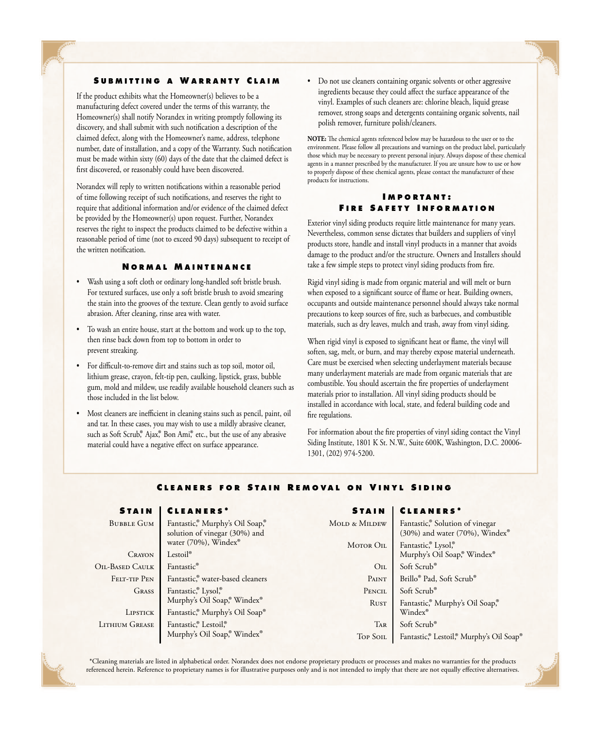### **S u b m i tt i n g a W a r r a n t y C l a i m**

If the product exhibits what the Homeowner(s) believes to be a manufacturing defect covered under the terms of this warranty, the Homeowner(s) shall notify Norandex in writing promptly following its discovery, and shall submit with such notification a description of the claimed defect, along with the Homeowner's name, address, telephone number, date of installation, and a copy of the Warranty. Such notification must be made within sixty (60) days of the date that the claimed defect is first discovered, or reasonably could have been discovered.

Norandex will reply to written notifications within a reasonable period of time following receipt of such notifications, and reserves the right to require that additional information and/or evidence of the claimed defect be provided by the Homeowner(s) upon request. Further, Norandex reserves the right to inspect the products claimed to be defective within a reasonable period of time (not to exceed 90 days) subsequent to receipt of the written notification.

#### **N o r m a l M a i n t e n a n c e**

- Wash using a soft cloth or ordinary long-handled soft bristle brush. For textured surfaces, use only a soft bristle brush to avoid smearing the stain into the grooves of the texture. Clean gently to avoid surface abrasion. After cleaning, rinse area with water.
- To wash an entire house, start at the bottom and work up to the top, then rinse back down from top to bottom in order to prevent streaking.
- For difficult-to-remove dirt and stains such as top soil, motor oil, lithium grease, crayon, felt-tip pen, caulking, lipstick, grass, bubble gum, mold and mildew, use readily available household cleaners such as those included in the list below.
- Most cleaners are inefficient in cleaning stains such as pencil, paint, oil and tar. In these cases, you may wish to use a mildly abrasive cleaner, such as Soft Scrub,<sup>®</sup> Ajax,<sup>®</sup> Bon Ami,® etc., but the use of any abrasive material could have a negative effect on surface appearance.

• Do not use cleaners containing organic solvents or other aggressive ingredients because they could affect the surface appearance of the vinyl. Examples of such cleaners are: chlorine bleach, liquid grease remover, strong soaps and detergents containing organic solvents, nail polish remover, furniture polish/cleaners.

**NOTE:** The chemical agents referenced below may be hazardous to the user or to the environment. Please follow all precautions and warnings on the product label, particularly those which may be necessary to prevent personal injury. Always dispose of these chemical agents in a manner prescribed by the manufacturer. If you are unsure how to use or how to properly dispose of these chemical agents, please contact the manufacturer of these products for instructions.

# **I m p o r t a n t : F i r e S a f e t y I n f o r m a t i o n**

Exterior vinyl siding products require little maintenance for many years. Nevertheless, common sense dictates that builders and suppliers of vinyl products store, handle and install vinyl products in a manner that avoids damage to the product and/or the structure. Owners and Installers should take a few simple steps to protect vinyl siding products from fire.

Rigid vinyl siding is made from organic material and will melt or burn when exposed to a significant source of flame or heat. Building owners, occupants and outside maintenance personnel should always take normal precautions to keep sources of fire, such as barbecues, and combustible materials, such as dry leaves, mulch and trash, away from vinyl siding.

When rigid vinyl is exposed to significant heat or flame, the vinyl will soften, sag, melt, or burn, and may thereby expose material underneath. Care must be exercised when selecting underlayment materials because many underlayment materials are made from organic materials that are combustible. You should ascertain the fire properties of underlayment materials prior to installation. All vinyl siding products should be installed in accordance with local, state, and federal building code and fire regulations.

For information about the fire properties of vinyl siding contact the Vinyl Siding Institute, 1801 K St. N.W., Suite 600K, Washington, D.C. 20006- 1301, (202) 974-5200.

**S t a i n C l e a n e r s \***

#### **C l e a n e r s f o r S t a i n R e m o v a l o n V i n y l S i d i n g**

| STAIN   CLEANERS* |  |  |  |  |  |  |  |  |
|-------------------|--|--|--|--|--|--|--|--|
|-------------------|--|--|--|--|--|--|--|--|

| <b>BUBBLE GUM</b> | Fantastic, <sup>®</sup> Murphy's Oil Soap,®<br>MOLD & MILDEW<br>solution of vinegar (30%) and |                 | Fantastic, <sup>®</sup> Solution of vinegar<br>(30%) and water (70%), Windex® |
|-------------------|-----------------------------------------------------------------------------------------------|-----------------|-------------------------------------------------------------------------------|
|                   | water (70%), Windex®                                                                          | MOTOR OIL       | Fantastic, <sup>®</sup> Lysol,®                                               |
| <b>CRAYON</b>     | Lestoil®                                                                                      |                 | Murphy's Oil Soap, <sup>®</sup> Windex®                                       |
| OIL-BASED CAULK   | Fantastic®                                                                                    | $_{\rm OIL}$    | Soft Scrub®                                                                   |
| FELT-TIP PEN      | Fantastic, <sup>®</sup> water-based cleaners                                                  | PAINT           | Brillo <sup>®</sup> Pad, Soft Scrub <sup>®</sup>                              |
| GRASS             | Fantastic, <sup>®</sup> Lysol,®                                                               | PENCIL          | Soft Scrub®                                                                   |
|                   | Murphy's Oil Soap, <sup>®</sup> Windex <sup>®</sup>                                           | Rust            | Fantastic, <sup>®</sup> Murphy's Oil Soap, <sup>®</sup>                       |
| LIPSTICK          | Fantastic, <sup>®</sup> Murphy's Oil Soap®                                                    |                 | Windex®                                                                       |
| LITHIUM GREASE    | Fantastic, <sup>®</sup> Lestoil, <sup>®</sup>                                                 | <b>TAR</b>      | Soft Scrub®                                                                   |
|                   | Murphy's Oil Soap, <sup>®</sup> Windex <sup>®</sup>                                           | <b>TOP SOIL</b> | Fantastic,® Lestoil,® Murphy's Oil Soap®                                      |
|                   |                                                                                               |                 |                                                                               |

\*Cleaning materials are listed in alphabetical order. Norandex does not endorse proprietary products or processes and makes no warranties for the products referenced herein. Reference to proprietary names is for illustrative purposes only and is not intended to imply that there are not equally effective alternatives.